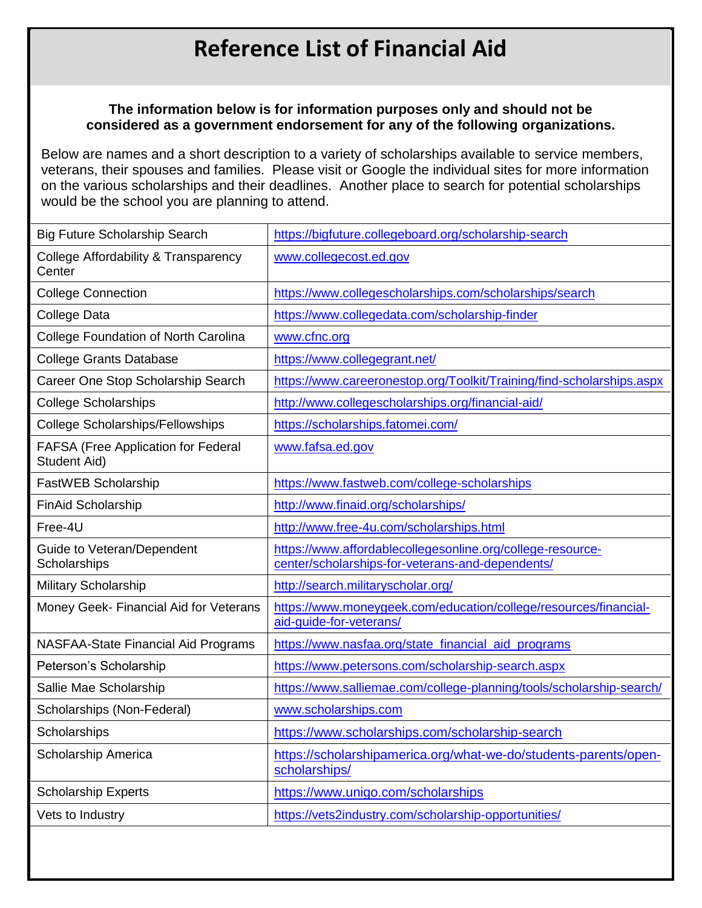## **Reference List of Financial Aid**

## **The information below is for information purposes only and should not be considered as a government endorsement for any of the following organizations.**

Below are names and a short description to a variety of scholarships available to service members, veterans, their spouses and families. Please visit or Google the individual sites for more information on the various scholarships and their deadlines. Another place to search for potential scholarships would be the school you are planning to attend.

| <b>Big Future Scholarship Search</b>                       | https://bigfuture.collegeboard.org/scholarship-search                                                          |
|------------------------------------------------------------|----------------------------------------------------------------------------------------------------------------|
| College Affordability & Transparency<br>Center             | www.collegecost.ed.gov                                                                                         |
| <b>College Connection</b>                                  | https://www.collegescholarships.com/scholarships/search                                                        |
| College Data                                               | https://www.collegedata.com/scholarship-finder                                                                 |
| <b>College Foundation of North Carolina</b>                | www.cfnc.org                                                                                                   |
| <b>College Grants Database</b>                             | https://www.collegegrant.net/                                                                                  |
| Career One Stop Scholarship Search                         | https://www.careeronestop.org/Toolkit/Training/find-scholarships.aspx                                          |
| <b>College Scholarships</b>                                | http://www.collegescholarships.org/financial-aid/                                                              |
| <b>College Scholarships/Fellowships</b>                    | https://scholarships.fatomei.com/                                                                              |
| <b>FAFSA (Free Application for Federal</b><br>Student Aid) | www.fafsa.ed.gov                                                                                               |
| FastWEB Scholarship                                        | https://www.fastweb.com/college-scholarships                                                                   |
| <b>FinAid Scholarship</b>                                  | http://www.finaid.org/scholarships/                                                                            |
| Free-4U                                                    | http://www.free-4u.com/scholarships.html                                                                       |
| Guide to Veteran/Dependent<br>Scholarships                 | https://www.affordablecollegesonline.org/college-resource-<br>center/scholarships-for-veterans-and-dependents/ |
| <b>Military Scholarship</b>                                | http://search.militaryscholar.org/                                                                             |
| Money Geek- Financial Aid for Veterans                     | https://www.moneygeek.com/education/college/resources/financial-<br>aid-guide-for-veterans/                    |
| <b>NASFAA-State Financial Aid Programs</b>                 | https://www.nasfaa.org/state_financial_aid_programs                                                            |
| Peterson's Scholarship                                     | https://www.petersons.com/scholarship-search.aspx                                                              |
| Sallie Mae Scholarship                                     | https://www.salliemae.com/college-planning/tools/scholarship-search/                                           |
| Scholarships (Non-Federal)                                 | www.scholarships.com                                                                                           |
| Scholarships                                               | https://www.scholarships.com/scholarship-search                                                                |
| Scholarship America                                        | https://scholarshipamerica.org/what-we-do/students-parents/open-<br>scholarships/                              |
| <b>Scholarship Experts</b>                                 | https://www.unigo.com/scholarships                                                                             |
| Vets to Industry                                           | https://vets2industry.com/scholarship-opportunities/                                                           |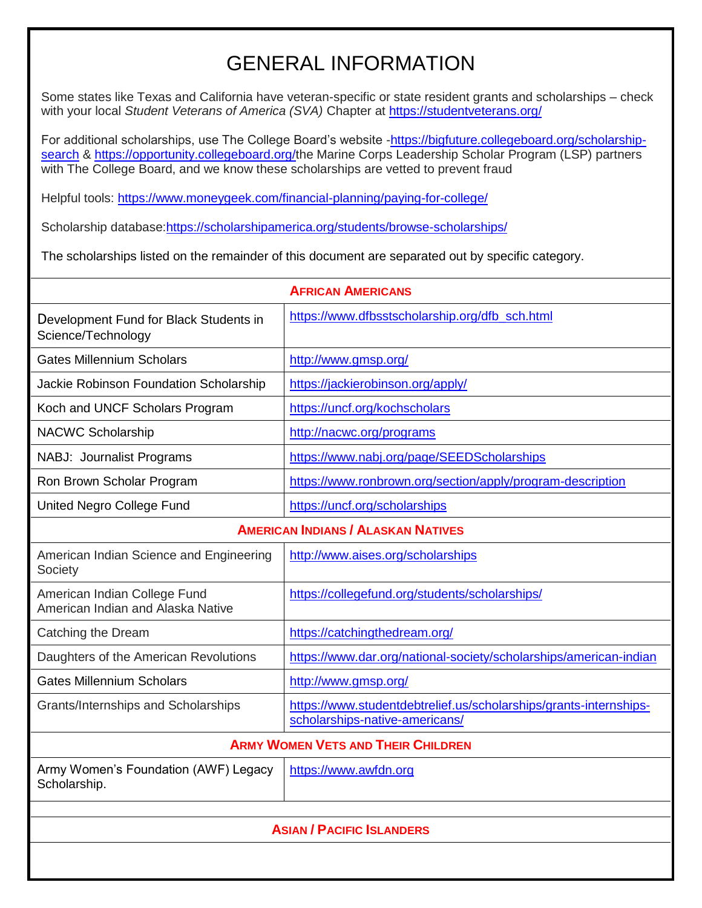## GENERAL INFORMATION

Some states like Texas and California have veteran-specific or state resident grants and scholarships – check with your local *Student Veterans of America (SVA)* Chapter at<https://studentveterans.org/>

For additional scholarships, use The College Board's website [-https://bigfuture.collegeboard.org/scholarship](https://bigfuture.collegeboard.org/scholarship-search)[search](https://bigfuture.collegeboard.org/scholarship-search) & [https://opportunity.collegeboard.org/t](https://opportunity.collegeboard.org/)he Marine Corps Leadership Scholar Program (LSP) partners with The College Board, and we know these scholarships are vetted to prevent fraud

Helpful tools:<https://www.moneygeek.com/financial-planning/paying-for-college/>

Scholarship database[:https://scholarshipamerica.org/students/browse-scholarships/](https://scholarshipamerica.org/students/browse-scholarships/)

The scholarships listed on the remainder of this document are separated out by specific category.

| <b>AFRICAN AMERICANS</b>                                          |                                                                                                     |
|-------------------------------------------------------------------|-----------------------------------------------------------------------------------------------------|
| Development Fund for Black Students in<br>Science/Technology      | https://www.dfbsstscholarship.org/dfb sch.html                                                      |
| <b>Gates Millennium Scholars</b>                                  | http://www.gmsp.org/                                                                                |
| Jackie Robinson Foundation Scholarship                            | https://jackierobinson.org/apply/                                                                   |
| Koch and UNCF Scholars Program                                    | https://uncf.org/kochscholars                                                                       |
| <b>NACWC Scholarship</b>                                          | http://nacwc.org/programs                                                                           |
| NABJ: Journalist Programs                                         | https://www.nabj.org/page/SEEDScholarships                                                          |
| Ron Brown Scholar Program                                         | https://www.ronbrown.org/section/apply/program-description                                          |
| United Negro College Fund                                         | https://uncf.org/scholarships                                                                       |
| <b>AMERICAN INDIANS / ALASKAN NATIVES</b>                         |                                                                                                     |
| American Indian Science and Engineering<br>Society                | http://www.aises.org/scholarships                                                                   |
| American Indian College Fund<br>American Indian and Alaska Native | https://collegefund.org/students/scholarships/                                                      |
| Catching the Dream                                                | https://catchingthedream.org/                                                                       |
| Daughters of the American Revolutions                             | https://www.dar.org/national-society/scholarships/american-indian                                   |
| <b>Gates Millennium Scholars</b>                                  | http://www.gmsp.org/                                                                                |
| Grants/Internships and Scholarships                               | https://www.studentdebtrelief.us/scholarships/grants-internships-<br>scholarships-native-americans/ |
| <b>ARMY WOMEN VETS AND THEIR CHILDREN</b>                         |                                                                                                     |
| Army Women's Foundation (AWF) Legacy<br>Scholarship.              | https://www.awfdn.org                                                                               |
|                                                                   |                                                                                                     |
| <b>ASIAN / PACIFIC ISLANDERS</b>                                  |                                                                                                     |
|                                                                   |                                                                                                     |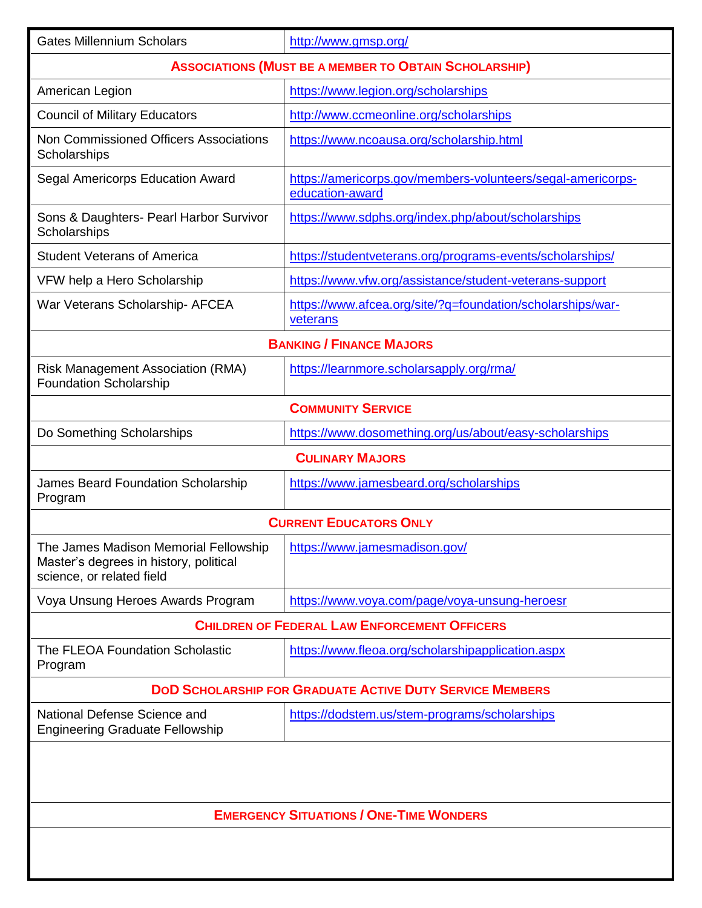| <b>Gates Millennium Scholars</b>                                                                             | http://www.gmsp.org/                                                           |  |  |
|--------------------------------------------------------------------------------------------------------------|--------------------------------------------------------------------------------|--|--|
|                                                                                                              | <b>ASSOCIATIONS (MUST BE A MEMBER TO OBTAIN SCHOLARSHIP)</b>                   |  |  |
| American Legion                                                                                              | https://www.legion.org/scholarships                                            |  |  |
| <b>Council of Military Educators</b>                                                                         | http://www.ccmeonline.org/scholarships                                         |  |  |
| Non Commissioned Officers Associations<br>Scholarships                                                       | https://www.ncoausa.org/scholarship.html                                       |  |  |
| Segal Americorps Education Award                                                                             | https://americorps.gov/members-volunteers/segal-americorps-<br>education-award |  |  |
| Sons & Daughters- Pearl Harbor Survivor<br>Scholarships                                                      | https://www.sdphs.org/index.php/about/scholarships                             |  |  |
| <b>Student Veterans of America</b>                                                                           | https://studentveterans.org/programs-events/scholarships/                      |  |  |
| VFW help a Hero Scholarship                                                                                  | https://www.vfw.org/assistance/student-veterans-support                        |  |  |
| War Veterans Scholarship- AFCEA                                                                              | https://www.afcea.org/site/?g=foundation/scholarships/war-<br>veterans         |  |  |
|                                                                                                              | <b>BANKING / FINANCE MAJORS</b>                                                |  |  |
| <b>Risk Management Association (RMA)</b><br><b>Foundation Scholarship</b>                                    | https://learnmore.scholarsapply.org/rma/                                       |  |  |
|                                                                                                              | <b>COMMUNITY SERVICE</b>                                                       |  |  |
| Do Something Scholarships                                                                                    | https://www.dosomething.org/us/about/easy-scholarships                         |  |  |
|                                                                                                              | <b>CULINARY MAJORS</b>                                                         |  |  |
| <b>James Beard Foundation Scholarship</b><br>Program                                                         | https://www.jamesbeard.org/scholarships                                        |  |  |
|                                                                                                              | <b>CURRENT EDUCATORS ONLY</b>                                                  |  |  |
| The James Madison Memorial Fellowship<br>Master's degrees in history, political<br>science, or related field | https://www.jamesmadison.gov/                                                  |  |  |
| Voya Unsung Heroes Awards Program                                                                            | https://www.voya.com/page/voya-unsung-heroesr                                  |  |  |
|                                                                                                              | <b>CHILDREN OF FEDERAL LAW ENFORCEMENT OFFICERS</b>                            |  |  |
| <b>The FLEOA Foundation Scholastic</b><br>Program                                                            | https://www.fleoa.org/scholarshipapplication.aspx                              |  |  |
|                                                                                                              | <b>DOD SCHOLARSHIP FOR GRADUATE ACTIVE DUTY SERVICE MEMBERS</b>                |  |  |
| National Defense Science and<br><b>Engineering Graduate Fellowship</b>                                       | https://dodstem.us/stem-programs/scholarships                                  |  |  |
|                                                                                                              |                                                                                |  |  |
| <b>EMERGENCY SITUATIONS / ONE-TIME WONDERS</b>                                                               |                                                                                |  |  |
|                                                                                                              |                                                                                |  |  |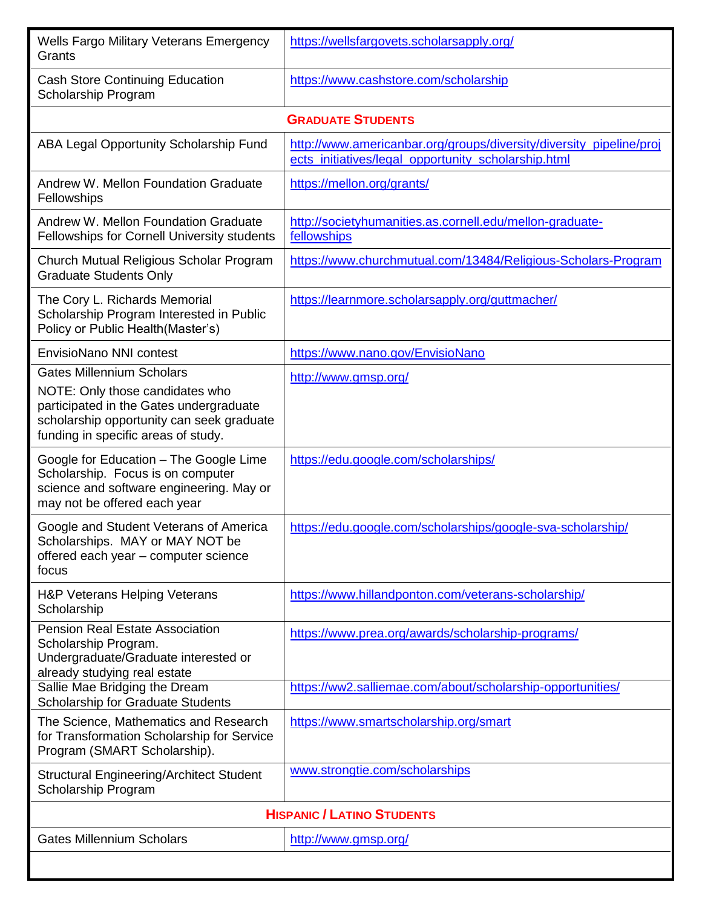| <b>Wells Fargo Military Veterans Emergency</b><br>Grants                                                                                                                                           | https://wellsfargovets.scholarsapply.org/                                                                                  |
|----------------------------------------------------------------------------------------------------------------------------------------------------------------------------------------------------|----------------------------------------------------------------------------------------------------------------------------|
| <b>Cash Store Continuing Education</b><br>Scholarship Program                                                                                                                                      | https://www.cashstore.com/scholarship                                                                                      |
|                                                                                                                                                                                                    | <b>GRADUATE STUDENTS</b>                                                                                                   |
| ABA Legal Opportunity Scholarship Fund                                                                                                                                                             | http://www.americanbar.org/groups/diversity/diversity_pipeline/proj<br>ects_initiatives/legal_opportunity_scholarship.html |
| Andrew W. Mellon Foundation Graduate<br>Fellowships                                                                                                                                                | https://mellon.org/grants/                                                                                                 |
| Andrew W. Mellon Foundation Graduate<br>Fellowships for Cornell University students                                                                                                                | http://societyhumanities.as.cornell.edu/mellon-graduate-<br>fellowships                                                    |
| Church Mutual Religious Scholar Program<br><b>Graduate Students Only</b>                                                                                                                           | https://www.churchmutual.com/13484/Religious-Scholars-Program                                                              |
| The Cory L. Richards Memorial<br>Scholarship Program Interested in Public<br>Policy or Public Health (Master's)                                                                                    | https://learnmore.scholarsapply.org/guttmacher/                                                                            |
| <b>EnvisioNano NNI contest</b>                                                                                                                                                                     | https://www.nano.gov/EnvisioNano                                                                                           |
| <b>Gates Millennium Scholars</b><br>NOTE: Only those candidates who<br>participated in the Gates undergraduate<br>scholarship opportunity can seek graduate<br>funding in specific areas of study. | http://www.gmsp.org/                                                                                                       |
| Google for Education - The Google Lime<br>Scholarship. Focus is on computer<br>science and software engineering. May or<br>may not be offered each year                                            | https://edu.google.com/scholarships/                                                                                       |
| Google and Student Veterans of America<br>Scholarships. MAY or MAY NOT be<br>offered each year - computer science<br>focus                                                                         | https://edu.google.com/scholarships/google-sva-scholarship/                                                                |
| H&P Veterans Helping Veterans<br>Scholarship                                                                                                                                                       | https://www.hillandponton.com/veterans-scholarship/                                                                        |
| <b>Pension Real Estate Association</b><br>Scholarship Program.<br>Undergraduate/Graduate interested or<br>already studying real estate<br>Sallie Mae Bridging the Dream                            | https://www.prea.org/awards/scholarship-programs/<br>https://ww2.salliemae.com/about/scholarship-opportunities/            |
| Scholarship for Graduate Students                                                                                                                                                                  |                                                                                                                            |
| The Science, Mathematics and Research<br>for Transformation Scholarship for Service<br>Program (SMART Scholarship).                                                                                | https://www.smartscholarship.org/smart                                                                                     |
| <b>Structural Engineering/Architect Student</b><br>Scholarship Program                                                                                                                             | www.strongtie.com/scholarships                                                                                             |
| <b>HISPANIC / LATINO STUDENTS</b>                                                                                                                                                                  |                                                                                                                            |
| <b>Gates Millennium Scholars</b>                                                                                                                                                                   | http://www.gmsp.org/                                                                                                       |
|                                                                                                                                                                                                    |                                                                                                                            |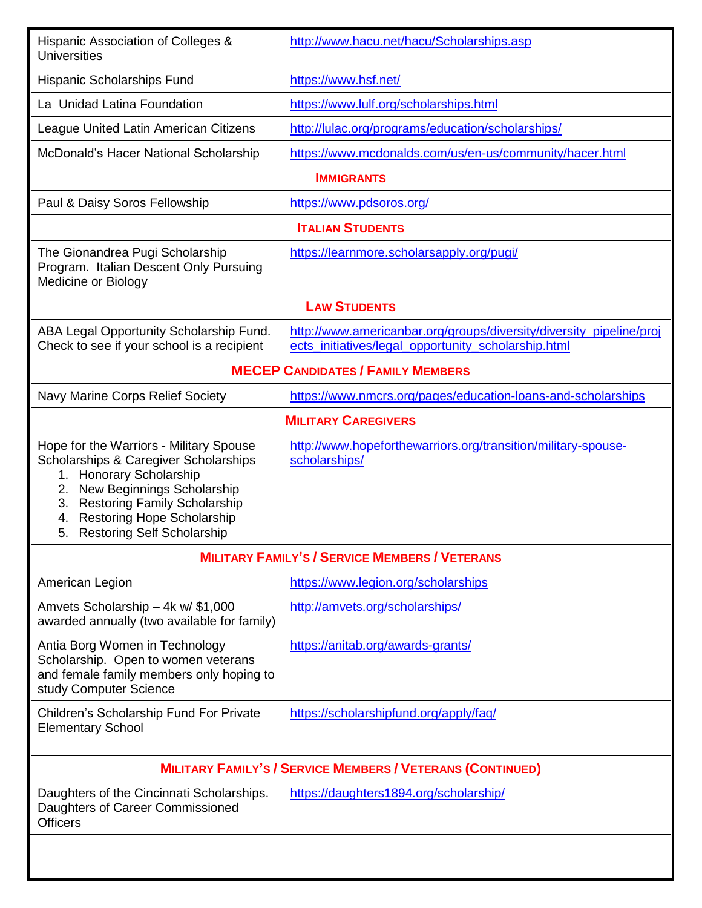| Hispanic Association of Colleges &<br><b>Universities</b>                                                                                                                                                                                                                          | http://www.hacu.net/hacu/Scholarships.asp                                                                                  |
|------------------------------------------------------------------------------------------------------------------------------------------------------------------------------------------------------------------------------------------------------------------------------------|----------------------------------------------------------------------------------------------------------------------------|
| Hispanic Scholarships Fund                                                                                                                                                                                                                                                         | https://www.hsf.net/                                                                                                       |
| La Unidad Latina Foundation                                                                                                                                                                                                                                                        | https://www.lulf.org/scholarships.html                                                                                     |
| League United Latin American Citizens                                                                                                                                                                                                                                              | http://lulac.org/programs/education/scholarships/                                                                          |
| McDonald's Hacer National Scholarship                                                                                                                                                                                                                                              | https://www.mcdonalds.com/us/en-us/community/hacer.html                                                                    |
|                                                                                                                                                                                                                                                                                    | <b>IMMIGRANTS</b>                                                                                                          |
| Paul & Daisy Soros Fellowship                                                                                                                                                                                                                                                      | https://www.pdsoros.org/                                                                                                   |
|                                                                                                                                                                                                                                                                                    | <b>ITALIAN STUDENTS</b>                                                                                                    |
| The Gionandrea Pugi Scholarship<br>Program. Italian Descent Only Pursuing<br>Medicine or Biology                                                                                                                                                                                   | https://learnmore.scholarsapply.org/pugi/                                                                                  |
|                                                                                                                                                                                                                                                                                    | <b>LAW STUDENTS</b>                                                                                                        |
| ABA Legal Opportunity Scholarship Fund.<br>Check to see if your school is a recipient                                                                                                                                                                                              | http://www.americanbar.org/groups/diversity/diversity_pipeline/proj<br>ects_initiatives/legal_opportunity_scholarship.html |
| <b>MECEP CANDIDATES / FAMILY MEMBERS</b>                                                                                                                                                                                                                                           |                                                                                                                            |
| Navy Marine Corps Relief Society                                                                                                                                                                                                                                                   | https://www.nmcrs.org/pages/education-loans-and-scholarships                                                               |
|                                                                                                                                                                                                                                                                                    | <b>MILITARY CAREGIVERS</b>                                                                                                 |
| Hope for the Warriors - Military Spouse<br>Scholarships & Caregiver Scholarships<br>1. Honorary Scholarship<br>New Beginnings Scholarship<br>2.<br><b>Restoring Family Scholarship</b><br>3.<br><b>Restoring Hope Scholarship</b><br>4.<br><b>Restoring Self Scholarship</b><br>5. | http://www.hopeforthewarriors.org/transition/military-spouse-<br>scholarships/                                             |
|                                                                                                                                                                                                                                                                                    | <b>MILITARY FAMILY'S / SERVICE MEMBERS / VETERANS</b>                                                                      |
| American Legion                                                                                                                                                                                                                                                                    | https://www.legion.org/scholarships                                                                                        |
| Amvets Scholarship - 4k w/ \$1,000<br>awarded annually (two available for family)                                                                                                                                                                                                  | http://amvets.org/scholarships/                                                                                            |
| Antia Borg Women in Technology<br>Scholarship. Open to women veterans<br>and female family members only hoping to<br>study Computer Science                                                                                                                                        | https://anitab.org/awards-grants/                                                                                          |
| Children's Scholarship Fund For Private<br><b>Elementary School</b>                                                                                                                                                                                                                | https://scholarshipfund.org/apply/faq/                                                                                     |
| <b>MILITARY FAMILY'S / SERVICE MEMBERS / VETERANS (CONTINUED)</b>                                                                                                                                                                                                                  |                                                                                                                            |
| Daughters of the Cincinnati Scholarships.<br>Daughters of Career Commissioned<br><b>Officers</b>                                                                                                                                                                                   | https://daughters1894.org/scholarship/                                                                                     |
|                                                                                                                                                                                                                                                                                    |                                                                                                                            |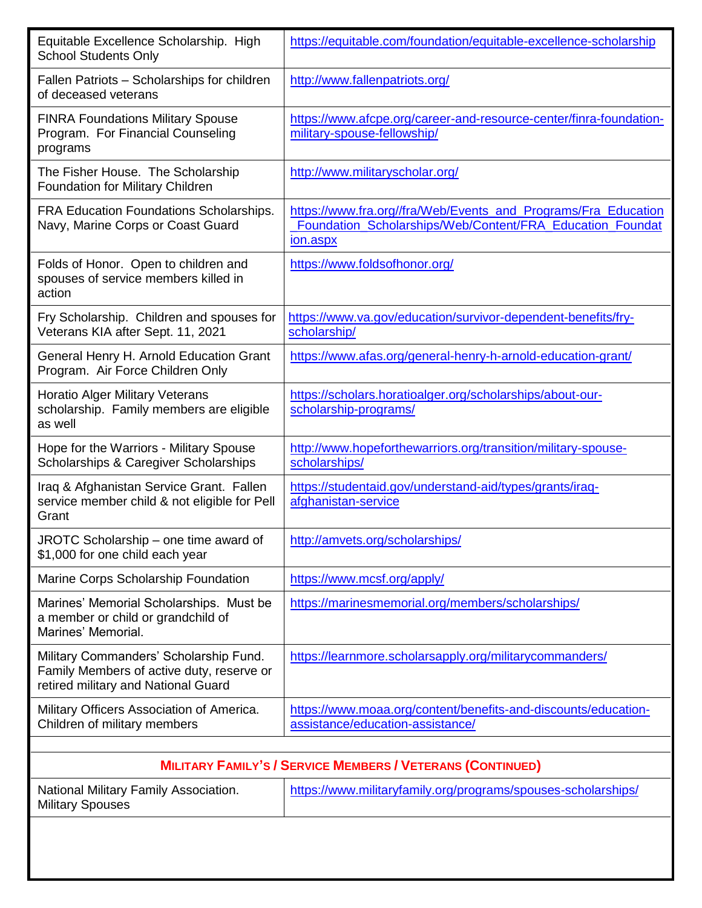| Equitable Excellence Scholarship. High<br><b>School Students Only</b>                                                      | https://equitable.com/foundation/equitable-excellence-scholarship                                                                       |  |
|----------------------------------------------------------------------------------------------------------------------------|-----------------------------------------------------------------------------------------------------------------------------------------|--|
| Fallen Patriots - Scholarships for children<br>of deceased veterans                                                        | http://www.fallenpatriots.org/                                                                                                          |  |
| <b>FINRA Foundations Military Spouse</b><br>Program. For Financial Counseling<br>programs                                  | https://www.afcpe.org/career-and-resource-center/finra-foundation-<br>military-spouse-fellowship/                                       |  |
| The Fisher House. The Scholarship<br>Foundation for Military Children                                                      | http://www.militaryscholar.org/                                                                                                         |  |
| <b>FRA Education Foundations Scholarships.</b><br>Navy, Marine Corps or Coast Guard                                        | https://www.fra.org//fra/Web/Events_and_Programs/Fra_Education<br>Foundation_Scholarships/Web/Content/FRA_Education_Foundat<br>ion.aspx |  |
| Folds of Honor. Open to children and<br>spouses of service members killed in<br>action                                     | https://www.foldsofhonor.org/                                                                                                           |  |
| Fry Scholarship. Children and spouses for<br>Veterans KIA after Sept. 11, 2021                                             | https://www.va.gov/education/survivor-dependent-benefits/fry-<br>scholarship/                                                           |  |
| General Henry H. Arnold Education Grant<br>Program. Air Force Children Only                                                | https://www.afas.org/general-henry-h-arnold-education-grant/                                                                            |  |
| <b>Horatio Alger Military Veterans</b><br>scholarship. Family members are eligible<br>as well                              | https://scholars.horatioalger.org/scholarships/about-our-<br>scholarship-programs/                                                      |  |
| Hope for the Warriors - Military Spouse<br>Scholarships & Caregiver Scholarships                                           | http://www.hopeforthewarriors.org/transition/military-spouse-<br>scholarships/                                                          |  |
| Iraq & Afghanistan Service Grant. Fallen<br>service member child & not eligible for Pell<br>Grant                          | https://studentaid.gov/understand-aid/types/grants/iraq-<br>afghanistan-service                                                         |  |
| JROTC Scholarship – one time award of<br>\$1,000 for one child each year                                                   | http://amvets.org/scholarships/                                                                                                         |  |
| Marine Corps Scholarship Foundation                                                                                        | https://www.mcsf.org/apply/                                                                                                             |  |
| Marines' Memorial Scholarships. Must be<br>a member or child or grandchild of<br>Marines' Memorial.                        | https://marinesmemorial.org/members/scholarships/                                                                                       |  |
| Military Commanders' Scholarship Fund.<br>Family Members of active duty, reserve or<br>retired military and National Guard | https://learnmore.scholarsapply.org/militarycommanders/                                                                                 |  |
| Military Officers Association of America.<br>Children of military members                                                  | https://www.moaa.org/content/benefits-and-discounts/education-<br>assistance/education-assistance/                                      |  |
|                                                                                                                            |                                                                                                                                         |  |
|                                                                                                                            | <b>MILITARY FAMILY'S / SERVICE MEMBERS / VETERANS (CONTINUED)</b>                                                                       |  |
| National Military Family Association.<br><b>Military Spouses</b>                                                           | https://www.militaryfamily.org/programs/spouses-scholarships/                                                                           |  |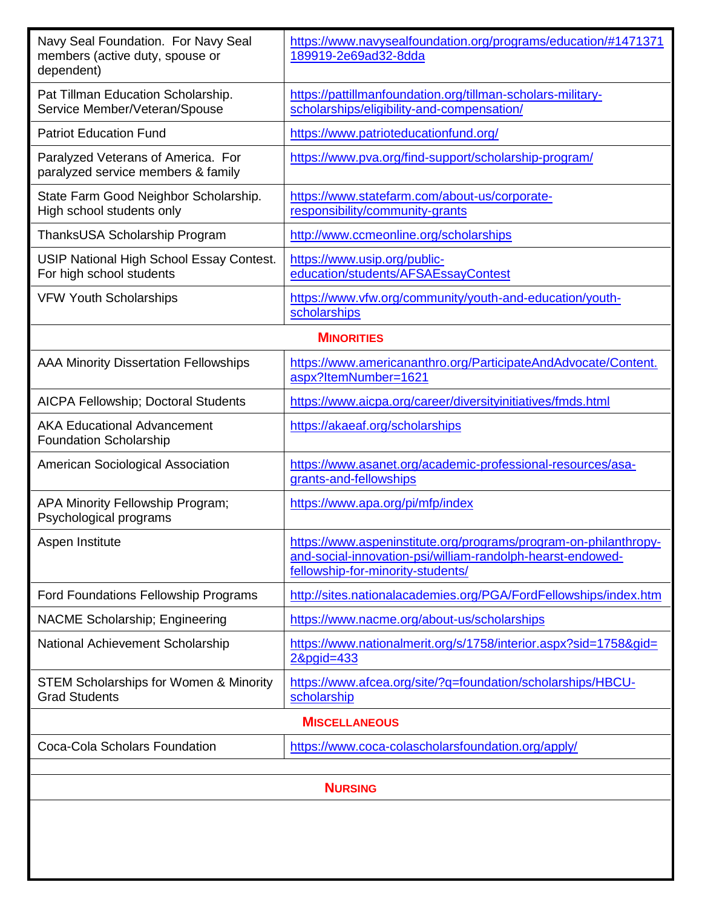| Navy Seal Foundation. For Navy Seal<br>members (active duty, spouse or<br>dependent) | https://www.navysealfoundation.org/programs/education/#1471371<br>189919-2e69ad32-8dda                                                                              |
|--------------------------------------------------------------------------------------|---------------------------------------------------------------------------------------------------------------------------------------------------------------------|
| Pat Tillman Education Scholarship.<br>Service Member/Veteran/Spouse                  | https://pattillmanfoundation.org/tillman-scholars-military-<br>scholarships/eligibility-and-compensation/                                                           |
| <b>Patriot Education Fund</b>                                                        | https://www.patrioteducationfund.org/                                                                                                                               |
| Paralyzed Veterans of America. For<br>paralyzed service members & family             | https://www.pva.org/find-support/scholarship-program/                                                                                                               |
| State Farm Good Neighbor Scholarship.<br>High school students only                   | https://www.statefarm.com/about-us/corporate-<br>responsibility/community-grants                                                                                    |
| ThanksUSA Scholarship Program                                                        | http://www.ccmeonline.org/scholarships                                                                                                                              |
| USIP National High School Essay Contest.<br>For high school students                 | https://www.usip.org/public-<br>education/students/AFSAEssayContest                                                                                                 |
| <b>VFW Youth Scholarships</b>                                                        | https://www.vfw.org/community/youth-and-education/youth-<br>scholarships                                                                                            |
|                                                                                      | <b>MINORITIES</b>                                                                                                                                                   |
| <b>AAA Minority Dissertation Fellowships</b>                                         | https://www.americananthro.org/ParticipateAndAdvocate/Content.<br>aspx?ltemNumber=1621                                                                              |
| AICPA Fellowship; Doctoral Students                                                  | https://www.aicpa.org/career/diversityinitiatives/fmds.html                                                                                                         |
| <b>AKA Educational Advancement</b><br><b>Foundation Scholarship</b>                  | https://akaeaf.org/scholarships                                                                                                                                     |
| American Sociological Association                                                    | https://www.asanet.org/academic-professional-resources/asa-<br>grants-and-fellowships                                                                               |
| APA Minority Fellowship Program;<br>Psychological programs                           | https://www.apa.org/pi/mfp/index                                                                                                                                    |
| Aspen Institute                                                                      | https://www.aspeninstitute.org/programs/program-on-philanthropy-<br>and-social-innovation-psi/william-randolph-hearst-endowed-<br>fellowship-for-minority-students/ |
| Ford Foundations Fellowship Programs                                                 | http://sites.nationalacademies.org/PGA/FordFellowships/index.htm                                                                                                    |
| NACME Scholarship; Engineering                                                       | https://www.nacme.org/about-us/scholarships                                                                                                                         |
| National Achievement Scholarship                                                     | https://www.nationalmerit.org/s/1758/interior.aspx?sid=1758&gid=<br>2&pgid=433                                                                                      |
| <b>STEM Scholarships for Women &amp; Minority</b><br><b>Grad Students</b>            | https://www.afcea.org/site/?q=foundation/scholarships/HBCU-<br>scholarship                                                                                          |
| <b>MISCELLANEOUS</b>                                                                 |                                                                                                                                                                     |
| Coca-Cola Scholars Foundation                                                        | https://www.coca-colascholarsfoundation.org/apply/                                                                                                                  |
| <b>NURSING</b>                                                                       |                                                                                                                                                                     |
|                                                                                      |                                                                                                                                                                     |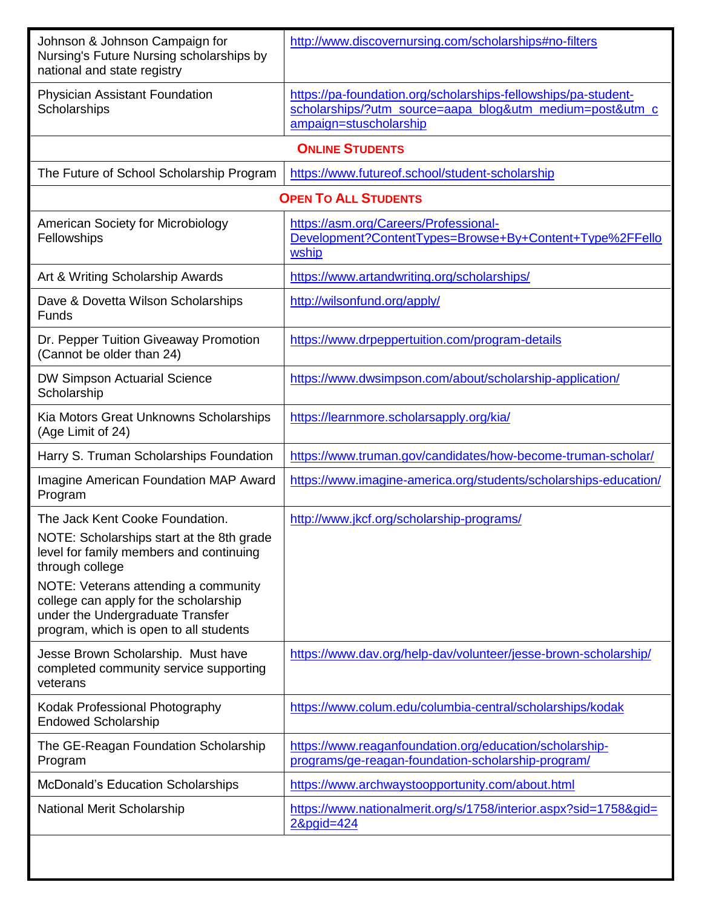| Johnson & Johnson Campaign for<br>Nursing's Future Nursing scholarships by<br>national and state registry                                                   | http://www.discovernursing.com/scholarships#no-filters                                                                                               |
|-------------------------------------------------------------------------------------------------------------------------------------------------------------|------------------------------------------------------------------------------------------------------------------------------------------------------|
| <b>Physician Assistant Foundation</b><br>Scholarships                                                                                                       | https://pa-foundation.org/scholarships-fellowships/pa-student-<br>scholarships/?utm_source=aapa_blog&utm_medium=post&utm_c<br>ampaign=stuscholarship |
|                                                                                                                                                             | <b>ONLINE STUDENTS</b>                                                                                                                               |
| The Future of School Scholarship Program                                                                                                                    | https://www.futureof.school/student-scholarship                                                                                                      |
| <b>OPEN TO ALL STUDENTS</b>                                                                                                                                 |                                                                                                                                                      |
| American Society for Microbiology<br>Fellowships                                                                                                            | https://asm.org/Careers/Professional-<br>Development?ContentTypes=Browse+By+Content+Type%2FFello<br>wship                                            |
| Art & Writing Scholarship Awards                                                                                                                            | https://www.artandwriting.org/scholarships/                                                                                                          |
| Dave & Dovetta Wilson Scholarships<br><b>Funds</b>                                                                                                          | http://wilsonfund.org/apply/                                                                                                                         |
| Dr. Pepper Tuition Giveaway Promotion<br>(Cannot be older than 24)                                                                                          | https://www.drpeppertuition.com/program-details                                                                                                      |
| <b>DW Simpson Actuarial Science</b><br>Scholarship                                                                                                          | https://www.dwsimpson.com/about/scholarship-application/                                                                                             |
| Kia Motors Great Unknowns Scholarships<br>(Age Limit of 24)                                                                                                 | https://learnmore.scholarsapply.org/kia/                                                                                                             |
| Harry S. Truman Scholarships Foundation                                                                                                                     | https://www.truman.gov/candidates/how-become-truman-scholar/                                                                                         |
| <b>Imagine American Foundation MAP Award</b><br>Program                                                                                                     | https://www.imagine-america.org/students/scholarships-education/                                                                                     |
| The Jack Kent Cooke Foundation.                                                                                                                             | http://www.jkcf.org/scholarship-programs/                                                                                                            |
| NOTE: Scholarships start at the 8th grade<br>level for family members and continuing<br>through college                                                     |                                                                                                                                                      |
| NOTE: Veterans attending a community<br>college can apply for the scholarship<br>under the Undergraduate Transfer<br>program, which is open to all students |                                                                                                                                                      |
| Jesse Brown Scholarship. Must have<br>completed community service supporting<br>veterans                                                                    | https://www.dav.org/help-dav/volunteer/jesse-brown-scholarship/                                                                                      |
| Kodak Professional Photography<br><b>Endowed Scholarship</b>                                                                                                | https://www.colum.edu/columbia-central/scholarships/kodak                                                                                            |
| The GE-Reagan Foundation Scholarship<br>Program                                                                                                             | https://www.reaganfoundation.org/education/scholarship-<br>programs/ge-reagan-foundation-scholarship-program/                                        |
| <b>McDonald's Education Scholarships</b>                                                                                                                    | https://www.archwaystoopportunity.com/about.html                                                                                                     |
| <b>National Merit Scholarship</b>                                                                                                                           | https://www.nationalmerit.org/s/1758/interior.aspx?sid=1758&gid=<br>2&pgid=424                                                                       |
|                                                                                                                                                             |                                                                                                                                                      |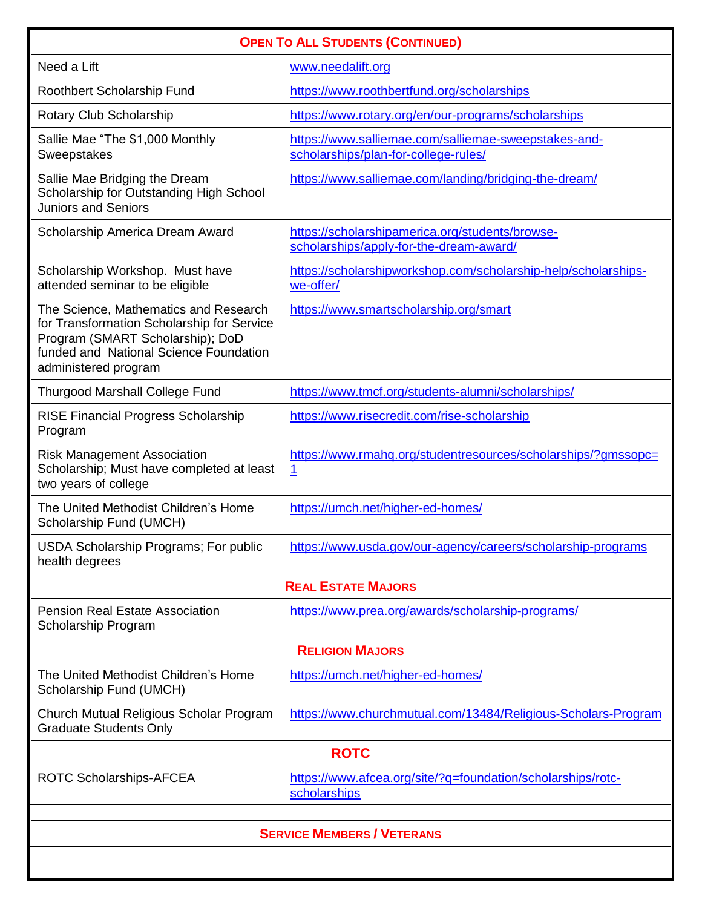| <b>OPEN TO ALL STUDENTS (CONTINUED)</b>                                                                                                                                                   |                                                                                              |
|-------------------------------------------------------------------------------------------------------------------------------------------------------------------------------------------|----------------------------------------------------------------------------------------------|
| Need a Lift                                                                                                                                                                               | www.needalift.org                                                                            |
| Roothbert Scholarship Fund                                                                                                                                                                | https://www.roothbertfund.org/scholarships                                                   |
| Rotary Club Scholarship                                                                                                                                                                   | https://www.rotary.org/en/our-programs/scholarships                                          |
| Sallie Mae "The \$1,000 Monthly<br>Sweepstakes                                                                                                                                            | https://www.salliemae.com/salliemae-sweepstakes-and-<br>scholarships/plan-for-college-rules/ |
| Sallie Mae Bridging the Dream<br>Scholarship for Outstanding High School<br><b>Juniors and Seniors</b>                                                                                    | https://www.salliemae.com/landing/bridging-the-dream/                                        |
| Scholarship America Dream Award                                                                                                                                                           | https://scholarshipamerica.org/students/browse-<br>scholarships/apply-for-the-dream-award/   |
| Scholarship Workshop. Must have<br>attended seminar to be eligible                                                                                                                        | https://scholarshipworkshop.com/scholarship-help/scholarships-<br>we-offer/                  |
| The Science, Mathematics and Research<br>for Transformation Scholarship for Service<br>Program (SMART Scholarship); DoD<br>funded and National Science Foundation<br>administered program | https://www.smartscholarship.org/smart                                                       |
| <b>Thurgood Marshall College Fund</b>                                                                                                                                                     | https://www.tmcf.org/students-alumni/scholarships/                                           |
| <b>RISE Financial Progress Scholarship</b><br>Program                                                                                                                                     | https://www.risecredit.com/rise-scholarship                                                  |
| <b>Risk Management Association</b><br>Scholarship; Must have completed at least<br>two years of college                                                                                   | https://www.rmahq.org/studentresources/scholarships/?gmssopc=<br>$\overline{1}$              |
| The United Methodist Children's Home<br>Scholarship Fund (UMCH)                                                                                                                           | https://umch.net/higher-ed-homes/                                                            |
| <b>USDA Scholarship Programs; For public</b><br>health degrees                                                                                                                            | https://www.usda.gov/our-agency/careers/scholarship-programs                                 |
|                                                                                                                                                                                           | <b>REAL ESTATE MAJORS</b>                                                                    |
| <b>Pension Real Estate Association</b><br>Scholarship Program                                                                                                                             | https://www.prea.org/awards/scholarship-programs/                                            |
|                                                                                                                                                                                           | <b>RELIGION MAJORS</b>                                                                       |
| The United Methodist Children's Home<br>Scholarship Fund (UMCH)                                                                                                                           | https://umch.net/higher-ed-homes/                                                            |
| Church Mutual Religious Scholar Program<br><b>Graduate Students Only</b>                                                                                                                  | https://www.churchmutual.com/13484/Religious-Scholars-Program                                |
| <b>ROTC</b>                                                                                                                                                                               |                                                                                              |
| ROTC Scholarships-AFCEA                                                                                                                                                                   | https://www.afcea.org/site/?q=foundation/scholarships/rotc-<br>scholarships                  |
| <b>SERVICE MEMBERS / VETERANS</b>                                                                                                                                                         |                                                                                              |
|                                                                                                                                                                                           |                                                                                              |
|                                                                                                                                                                                           |                                                                                              |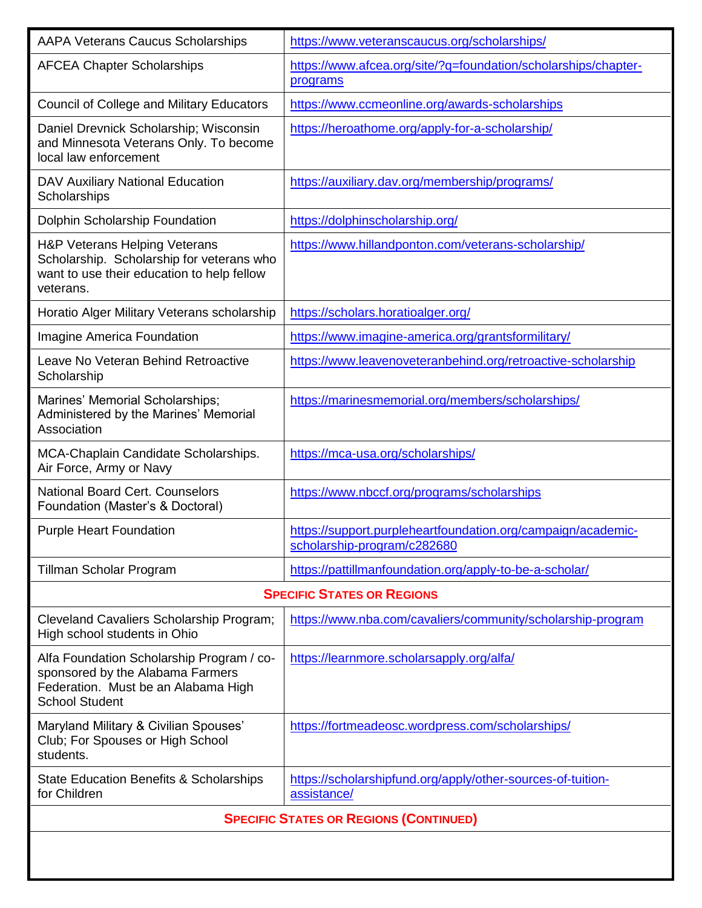| <b>AAPA Veterans Caucus Scholarships</b>                                                                                                      | https://www.veteranscaucus.org/scholarships/                                                |
|-----------------------------------------------------------------------------------------------------------------------------------------------|---------------------------------------------------------------------------------------------|
| <b>AFCEA Chapter Scholarships</b>                                                                                                             | https://www.afcea.org/site/?q=foundation/scholarships/chapter-<br>programs                  |
| <b>Council of College and Military Educators</b>                                                                                              | https://www.ccmeonline.org/awards-scholarships                                              |
| Daniel Drevnick Scholarship; Wisconsin<br>and Minnesota Veterans Only. To become<br>local law enforcement                                     | https://heroathome.org/apply-for-a-scholarship/                                             |
| DAV Auxiliary National Education<br>Scholarships                                                                                              | https://auxiliary.dav.org/membership/programs/                                              |
| Dolphin Scholarship Foundation                                                                                                                | https://dolphinscholarship.org/                                                             |
| H&P Veterans Helping Veterans<br>Scholarship. Scholarship for veterans who<br>want to use their education to help fellow<br>veterans.         | https://www.hillandponton.com/veterans-scholarship/                                         |
| Horatio Alger Military Veterans scholarship                                                                                                   | https://scholars.horatioalger.org/                                                          |
| <b>Imagine America Foundation</b>                                                                                                             | https://www.imagine-america.org/grantsformilitary/                                          |
| Leave No Veteran Behind Retroactive<br>Scholarship                                                                                            | https://www.leavenoveteranbehind.org/retroactive-scholarship                                |
| Marines' Memorial Scholarships;<br>Administered by the Marines' Memorial<br>Association                                                       | https://marinesmemorial.org/members/scholarships/                                           |
| MCA-Chaplain Candidate Scholarships.<br>Air Force, Army or Navy                                                                               | https://mca-usa.org/scholarships/                                                           |
| <b>National Board Cert. Counselors</b><br>Foundation (Master's & Doctoral)                                                                    | https://www.nbccf.org/programs/scholarships                                                 |
| <b>Purple Heart Foundation</b>                                                                                                                | https://support.purpleheartfoundation.org/campaign/academic-<br>scholarship-program/c282680 |
| Tillman Scholar Program                                                                                                                       | https://pattillmanfoundation.org/apply-to-be-a-scholar/                                     |
|                                                                                                                                               | <b>SPECIFIC STATES OR REGIONS</b>                                                           |
| Cleveland Cavaliers Scholarship Program;<br>High school students in Ohio                                                                      | https://www.nba.com/cavaliers/community/scholarship-program                                 |
| Alfa Foundation Scholarship Program / co-<br>sponsored by the Alabama Farmers<br>Federation. Must be an Alabama High<br><b>School Student</b> | https://learnmore.scholarsapply.org/alfa/                                                   |
| Maryland Military & Civilian Spouses'<br>Club; For Spouses or High School<br>students.                                                        | https://fortmeadeosc.wordpress.com/scholarships/                                            |
| State Education Benefits & Scholarships<br>for Children                                                                                       | https://scholarshipfund.org/apply/other-sources-of-tuition-<br>assistance/                  |
| <b>SPECIFIC STATES OR REGIONS (CONTINUED)</b>                                                                                                 |                                                                                             |
|                                                                                                                                               |                                                                                             |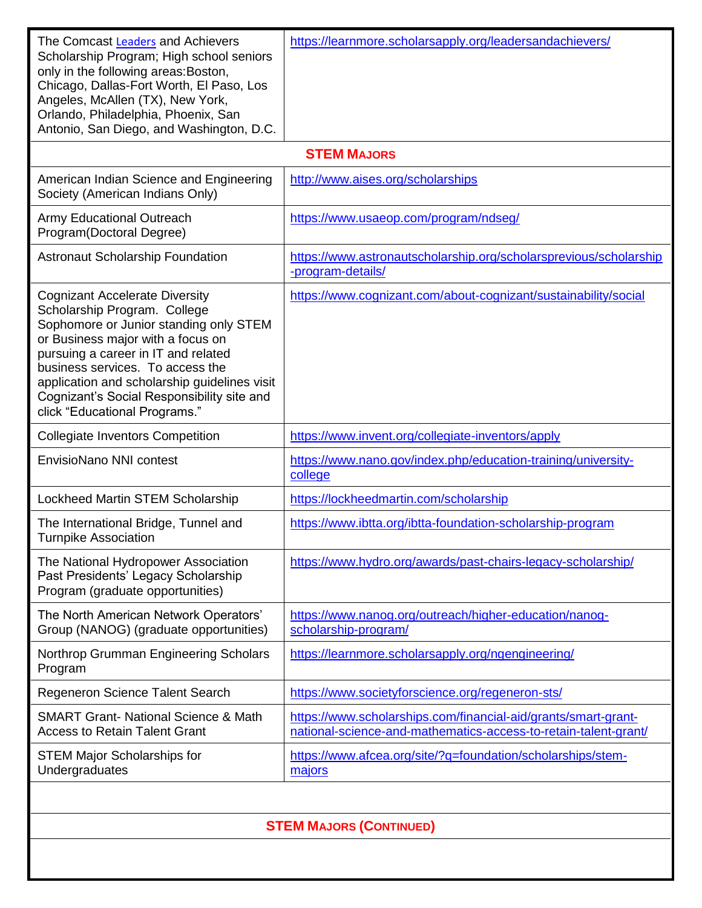| The Comcast Leaders and Achievers<br>Scholarship Program; High school seniors<br>only in the following areas: Boston,<br>Chicago, Dallas-Fort Worth, El Paso, Los<br>Angeles, McAllen (TX), New York,<br>Orlando, Philadelphia, Phoenix, San<br>Antonio, San Diego, and Washington, D.C.                                                                       | https://learnmore.scholarsapply.org/leadersandachievers/                                                                          |
|----------------------------------------------------------------------------------------------------------------------------------------------------------------------------------------------------------------------------------------------------------------------------------------------------------------------------------------------------------------|-----------------------------------------------------------------------------------------------------------------------------------|
|                                                                                                                                                                                                                                                                                                                                                                | <b>STEM MAJORS</b>                                                                                                                |
| American Indian Science and Engineering<br>Society (American Indians Only)                                                                                                                                                                                                                                                                                     | http://www.aises.org/scholarships                                                                                                 |
| <b>Army Educational Outreach</b><br>Program(Doctoral Degree)                                                                                                                                                                                                                                                                                                   | https://www.usaeop.com/program/ndseg/                                                                                             |
| <b>Astronaut Scholarship Foundation</b>                                                                                                                                                                                                                                                                                                                        | https://www.astronautscholarship.org/scholarsprevious/scholarship<br>-program-details/                                            |
| <b>Cognizant Accelerate Diversity</b><br>Scholarship Program. College<br>Sophomore or Junior standing only STEM<br>or Business major with a focus on<br>pursuing a career in IT and related<br>business services. To access the<br>application and scholarship guidelines visit<br>Cognizant's Social Responsibility site and<br>click "Educational Programs." | https://www.cognizant.com/about-cognizant/sustainability/social                                                                   |
| <b>Collegiate Inventors Competition</b>                                                                                                                                                                                                                                                                                                                        | https://www.invent.org/collegiate-inventors/apply                                                                                 |
| <b>EnvisioNano NNI contest</b>                                                                                                                                                                                                                                                                                                                                 | https://www.nano.gov/index.php/education-training/university-<br>college                                                          |
| Lockheed Martin STEM Scholarship                                                                                                                                                                                                                                                                                                                               | https://lockheedmartin.com/scholarship                                                                                            |
| The International Bridge, Tunnel and<br><b>Turnpike Association</b>                                                                                                                                                                                                                                                                                            | https://www.ibtta.org/ibtta-foundation-scholarship-program                                                                        |
| The National Hydropower Association<br>Past Presidents' Legacy Scholarship<br>Program (graduate opportunities)                                                                                                                                                                                                                                                 | https://www.hydro.org/awards/past-chairs-legacy-scholarship/                                                                      |
| The North American Network Operators'<br>Group (NANOG) (graduate opportunities)                                                                                                                                                                                                                                                                                | https://www.nanog.org/outreach/higher-education/nanog-<br>scholarship-program/                                                    |
| Northrop Grumman Engineering Scholars<br>Program                                                                                                                                                                                                                                                                                                               | https://learnmore.scholarsapply.org/ngengineering/                                                                                |
| Regeneron Science Talent Search                                                                                                                                                                                                                                                                                                                                | https://www.societyforscience.org/regeneron-sts/                                                                                  |
| <b>SMART Grant- National Science &amp; Math</b><br><b>Access to Retain Talent Grant</b>                                                                                                                                                                                                                                                                        | https://www.scholarships.com/financial-aid/grants/smart-grant-<br>national-science-and-mathematics-access-to-retain-talent-grant/ |
| <b>STEM Major Scholarships for</b><br>Undergraduates                                                                                                                                                                                                                                                                                                           | https://www.afcea.org/site/?q=foundation/scholarships/stem-<br>majors                                                             |
|                                                                                                                                                                                                                                                                                                                                                                |                                                                                                                                   |
| <b>STEM MAJORS (CONTINUED)</b>                                                                                                                                                                                                                                                                                                                                 |                                                                                                                                   |